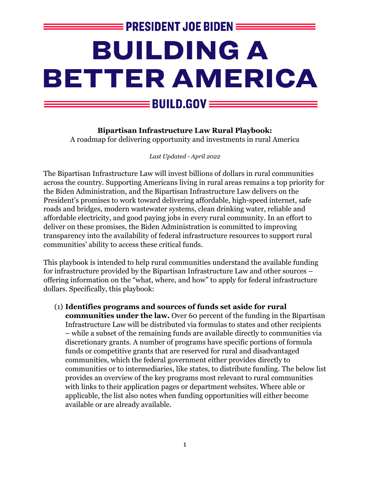# **EPRESIDENT JOE BIDEN E** BUILDING A **BETTER AMERICA**  $\mathsf{\mathsf{\underline{=}}}$  BUILD.GOV  $\mathsf{\underline{=}}$

**Bipartisan Infrastructure Law Rural Playbook:** A roadmap for delivering opportunity and investments in rural America

*Last Updated - April 2022*

The Bipartisan Infrastructure Law will invest billions of dollars in rural communities across the country. Supporting Americans living in rural areas remains a top priority for the Biden Administration, and the Bipartisan Infrastructure Law delivers on the President's promises to work toward delivering affordable, high-speed internet, safe roads and bridges, modern wastewater systems, clean drinking water, reliable and affordable electricity, and good paying jobs in every rural community. In an effort to deliver on these promises, the Biden Administration is committed to improving transparency into the availability of federal infrastructure resources to support rural communities' ability to access these critical funds.

This playbook is intended to help rural communities understand the available funding for infrastructure provided by the Bipartisan Infrastructure Law and other sources – offering information on the "what, where, and how" to apply for federal infrastructure dollars. Specifically, this playbook:

(1) **Identifies programs and sources of funds set aside for rural communities under the law.** Over 60 percent of the funding in the Bipartisan Infrastructure Law will be distributed via formulas to states and other recipients – while a subset of the remaining funds are available directly to communities via discretionary grants. A number of programs have specific portions of formula funds or competitive grants that are reserved for rural and disadvantaged communities, which the federal government either provides directly to communities or to intermediaries, like states, to distribute funding. The below list provides an overview of the key programs most relevant to rural communities with links to their application pages or department websites. Where able or applicable, the list also notes when funding opportunities will either become available or are already available.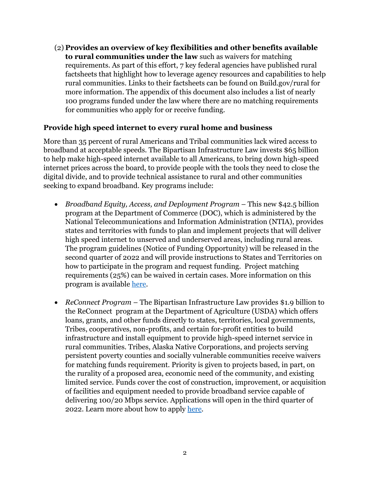(2) **Provides an overview of key flexibilities and other benefits available to rural communities under the law** such as waivers for matching requirements. As part of this effort, 7 key federal agencies have published rural factsheets that highlight how to leverage agency resources and capabilities to help rural communities. Links to their factsheets can be found on Build.gov/rural for more information. The appendix of this document also includes a list of nearly 100 programs funded under the law where there are no matching requirements for communities who apply for or receive funding.

#### **Provide high speed internet to every rural home and business**

More than 35 percent of rural Americans and Tribal communities lack wired access to broadband at acceptable speeds. The Bipartisan Infrastructure Law invests \$65 billion to help make high-speed internet available to all Americans, to bring down high-speed internet prices across the board, to provide people with the tools they need to close the digital divide, and to provide technical assistance to rural and other communities seeking to expand broadband. Key programs include:

- *Broadband Equity, Access, and Deployment Program* This new \$42.5 billion program at the Department of Commerce (DOC), which is administered by the National Telecommunications and Information Administration (NTIA), provides states and territories with funds to plan and implement projects that will deliver high speed internet to unserved and underserved areas, including rural areas. The program guidelines (Notice of Funding Opportunity) will be released in the second quarter of 2022 and will provide instructions to States and Territories on how to participate in the program and request funding. Project matching requirements (25%) can be waived in certain cases. More information on this program is available [here.](https://broadbandusa.ntia.doc.gov/resources/grant-programs/broadband-equity-access-and-deployment-bead-program)
- *ReConnect Program* The Bipartisan Infrastructure Law provides \$1.9 billion to the ReConnect program at the Department of Agriculture (USDA) which offers loans, grants, and other funds directly to states, territories, local governments, Tribes, cooperatives, non-profits, and certain for-profit entities to build infrastructure and install equipment to provide high-speed internet service in rural communities. Tribes, Alaska Native Corporations, and projects serving persistent poverty counties and socially vulnerable communities receive waivers for matching funds requirement. Priority is given to projects based, in part, on the rurality of a proposed area, economic need of the community, and existing limited service. Funds cover the cost of construction, improvement, or acquisition of facilities and equipment needed to provide broadband service capable of delivering 100/20 Mbps service. Applications will open in the third quarter of 2022. Learn more about how to apply [here.](https://www.usda.gov/reconnect/program-overview)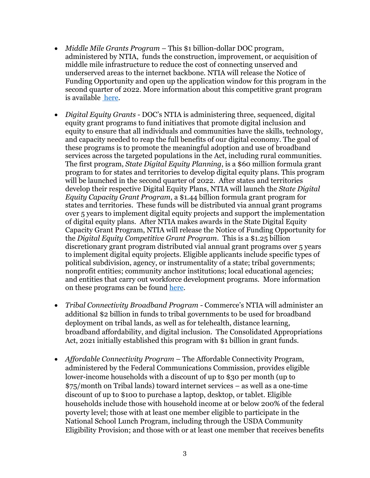- *Middle Mile Grants Program* This \$1 billion-dollar DOC program, administered by NTIA, funds the construction, improvement, or acquisition of middle mile infrastructure to reduce the cost of connecting unserved and underserved areas to the internet backbone. NTIA will release the Notice of Funding Opportunity and open up the application window for this program in the second quarter of 2022. More information about this competitive grant program is available [here.](https://broadbandusa.ntia.doc.gov/resources/grant-programs/enabling-middle-mile-broadband-infrastructure-program)
- *Digital Equity Grants -* DOC's NTIA is administering three, sequenced, digital equity grant programs to fund initiatives that promote digital inclusion and equity to ensure that all individuals and communities have the skills, technology, and capacity needed to reap the full benefits of our digital economy. The goal of these programs is to promote the meaningful adoption and use of broadband services across the targeted populations in the Act, including rural communities. The first program, *State Digital Equity Planning*, is a \$60 million formula grant program to for states and territories to develop digital equity plans. This program will be launched in the second quarter of 2022. After states and territories develop their respective Digital Equity Plans, NTIA will launch the *State Digital Equity Capacity Grant Program*, a \$1.44 billion formula grant program for states and territories. These funds will be distributed via annual grant programs over 5 years to implement digital equity projects and support the implementation of digital equity plans. After NTIA makes awards in the State Digital Equity Capacity Grant Program, NTIA will release the Notice of Funding Opportunity for the *Digital Equity Competitive Grant Program*. This is a \$1.25 billion discretionary grant program distributed vial annual grant programs over 5 years to implement digital equity projects. Eligible applicants include specific types of political subdivision, agency, or instrumentality of a state; tribal governments; nonprofit entities; community anchor institutions; local educational agencies; and entities that carry out workforce development programs. More information on these programs can be found [here.](https://broadbandusa.ntia.doc.gov/digital-equity-programs)
- *Tribal Connectivity Broadband Program -* Commerce's NTIA will administer an additional \$2 billion in funds to tribal governments to be used for broadband deployment on tribal lands, as well as for telehealth, distance learning, broadband affordability, and digital inclusion. The Consolidated Appropriations Act, 2021 initially established this program with \$1 billion in grant funds.
- *Affordable Connectivity Program* The Affordable Connectivity Program, administered by the Federal Communications Commission, provides eligible lower-income households with a discount of up to \$30 per month (up to \$75/month on Tribal lands) toward internet services – as well as a one-time discount of up to \$100 to purchase a laptop, desktop, or tablet. Eligible households include those with household income at or below 200% of the federal poverty level; those with at least one member eligible to participate in the National School Lunch Program, including through the USDA Community Eligibility Provision; and those with or at least one member that receives benefits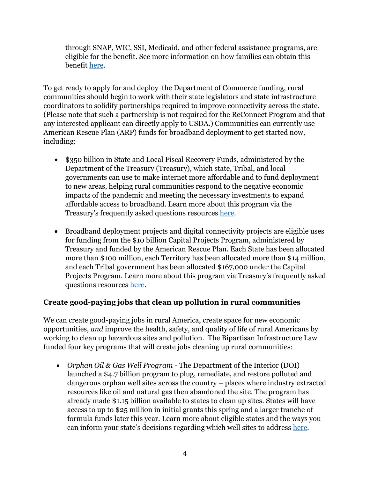through SNAP, WIC, SSI, Medicaid, and other federal assistance programs, are eligible for the benefit. See more information on how families can obtain this benefit [here.](https://www.fcc.gov/acp)

To get ready to apply for and deploy the Department of Commerce funding, rural communities should begin to work with their state legislators and state infrastructure coordinators to solidify partnerships required to improve connectivity across the state. (Please note that such a partnership is not required for the ReConnect Program and that any interested applicant can directly apply to USDA.) Communities can currently use American Rescue Plan (ARP) funds for broadband deployment to get started now, including:

- \$350 billion in State and Local Fiscal Recovery Funds, administered by the Department of the Treasury (Treasury), which state, Tribal, and local governments can use to make internet more affordable and to fund deployment to new areas, helping rural communities respond to the negative economic impacts of the pandemic and meeting the necessary investments to expand affordable access to broadband. Learn more about this program via the Treasury's frequently asked questions resources [here.](https://home.treasury.gov/policy-issues/coronavirus/assistance-for-state-local-and-tribal-governments/capital-projects-fund)
- Broadband deployment projects and digital connectivity projects are eligible uses for funding from the \$10 billion Capital Projects Program, administered by Treasury and funded by the American Rescue Plan. Each State has been allocated more than \$100 million, each Territory has been allocated more than \$14 million, and each Tribal government has been allocated \$167,000 under the Capital Projects Program. Learn more about this program via Treasury's frequently asked questions resources [here.](https://home.treasury.gov/policy-issues/coronavirus/assistance-for-state-local-and-tribal-governments/capital-projects-fund)

## **Create good-paying jobs that clean up pollution in rural communities**

We can create good-paying jobs in rural America, create space for new economic opportunities, *and* improve the health, safety, and quality of life of rural Americans by working to clean up hazardous sites and pollution. The Bipartisan Infrastructure Law funded four key programs that will create jobs cleaning up rural communities:

• *Orphan Oil & Gas Well Program -* The Department of the Interior (DOI) launched a \$4.7 billion program to plug, remediate, and restore polluted and dangerous orphan well sites across the country – places where industry extracted resources like oil and natural gas then abandoned the site. The program has already made \$1.15 billion available to states to clean up sites. States will have access to up to \$25 million in initial grants this spring and a larger tranche of formula funds later this year. Learn more about eligible states and the ways you can inform your state's decisions regarding which well sites to address [here.](https://www.doi.gov/pressreleases/biden-administration-announces-115-billion-states-create-jobs-cleaning-orphaned-oil)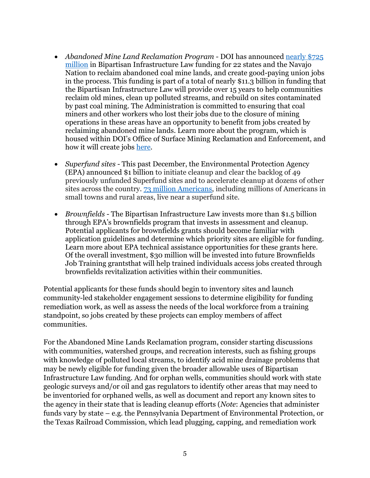- *Abandoned Mine Land Reclamation Program* DOI has announced nearly \$725 [million](https://www.doi.gov/pressreleases/biden-administration-announces-nearly-725-million-create-good-paying-union-jobs) in Bipartisan Infrastructure Law funding for 22 states and the Navajo Nation to reclaim abandoned coal mine lands, and create good-paying union jobs in the process. This funding is part of a total of nearly \$11.3 billion in funding that the Bipartisan Infrastructure Law will provide over 15 years to help communities reclaim old mines, clean up polluted streams, and rebuild on sites contaminated by past coal mining. The Administration is committed to ensuring that coal miners and other workers who lost their jobs due to the closure of mining operations in these areas have an opportunity to benefit from jobs created by reclaiming abandoned mine lands. Learn more about the program, which is housed within DOI's Office of Surface Mining Reclamation and Enforcement, and how it will create jobs [here.](https://www.osmre.gov/programs/reclamation-in-action)
- *Superfund sites -* This past December, the Environmental Protection Agency (EPA) announced \$1 billion to initiate cleanup and clear the backlog of 49 previously unfunded Superfund sites and to accelerate cleanup at dozens of other sites across the country. [73 million Americans,](https://www.epa.gov/sites/default/files/2015-09/documents/webpopulationrsuperfundsites9.28.15.pdf) including millions of Americans in small towns and rural areas, live near a superfund site.
- *Brownfields -* The Bipartisan Infrastructure Law invests more than \$1.5 billion through EPA's brownfields program that invests in assessment and cleanup. Potential applicants for brownfields grants should become familiar with application guidelines and determine which priority sites are eligible for funding. Learn more about EPA technical assistance opportunities for these grants [here.](https://www.epa.gov/brownfields/brownfields-technical-assistance-training-and-research) Of the overall investment, \$30 million will be invested into future Brownfields Job Training grantsthat will help trained individuals access jobs created through brownfields revitalization activities within their communities.

Potential applicants for these funds should begin to inventory sites and launch community-led stakeholder engagement sessions to determine eligibility for funding remediation work, as well as assess the needs of the local workforce from a training standpoint, so jobs created by these projects can employ members of affect communities.

For the Abandoned Mine Lands Reclamation program, consider starting discussions with communities, watershed groups, and recreation interests, such as fishing groups with knowledge of polluted local streams, to identify acid mine drainage problems that may be newly eligible for funding given the broader allowable uses of Bipartisan Infrastructure Law funding. And for orphan wells, communities should work with state geologic surveys and/or oil and gas regulators to identify other areas that may need to be inventoried for orphaned wells, as well as document and report any known sites to the agency in their state that is leading cleanup efforts (*Note*: Agencies that administer funds vary by state – e.g. the Pennsylvania Department of Environmental Protection, or the Texas Railroad Commission, which lead plugging, capping, and remediation work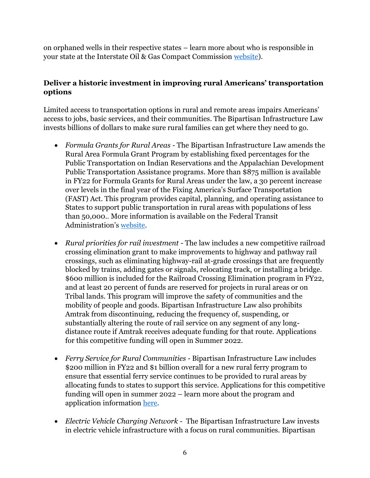on orphaned wells in their respective states – learn more about who is responsible in your state at the Interstate Oil & Gas Compact Commission [website\)](https://iogcc.ok.gov/state-statutes).

## **Deliver a historic investment in improving rural Americans' transportation options**

Limited access to transportation options in rural and remote areas impairs Americans' access to jobs, basic services, and their communities. The Bipartisan Infrastructure Law invests billions of dollars to make sure rural families can get where they need to go.

- *Formula Grants for Rural Areas -* The Bipartisan Infrastructure Law amends the Rural Area Formula Grant Program by establishing fixed percentages for the Public Transportation on Indian Reservations and the Appalachian Development Public Transportation Assistance programs. More than \$875 million is available in FY22 for Formula Grants for Rural Areas under the law, a 30 percent increase over levels in the final year of the Fixing America's Surface Transportation (FAST) Act. This program provides capital, planning, and operating assistance to States to support public transportation in rural areas with populations of less than 50,000.. More information is available on the Federal Transit Administration's [website.](https://www.transit.dot.gov/rural-formula-grants-5311)
- *Rural priorities for rail investment -* The law includes a new competitive railroad crossing elimination grant to make improvements to highway and pathway rail crossings, such as eliminating highway-rail at-grade crossings that are frequently blocked by trains, adding gates or signals, relocating track, or installing a bridge. \$600 million is included for the Railroad Crossing Elimination program in FY22, and at least 20 percent of funds are reserved for projects in rural areas or on Tribal lands. This program will improve the safety of communities and the mobility of people and goods. Bipartisan Infrastructure Law also prohibits Amtrak from discontinuing, reducing the frequency of, suspending, or substantially altering the route of rail service on any segment of any longdistance route if Amtrak receives adequate funding for that route. Applications for this competitive funding will open in Summer 2022.
- *Ferry Service for Rural Communities -* Bipartisan Infrastructure Law includes \$200 million in FY22 and \$1 billion overall for a new rural ferry program to ensure that essential ferry service continues to be provided to rural areas by allocating funds to states to support this service. Applications for this competitive funding will open in summer 2022 – learn more about the program and application information [here.](https://www.transit.dot.gov/funding/grants/fact-sheet-ferry-service-rural-communities)
- *Electric Vehicle Charging Network -* The Bipartisan Infrastructure Law invests in electric vehicle infrastructure with a focus on rural communities. Bipartisan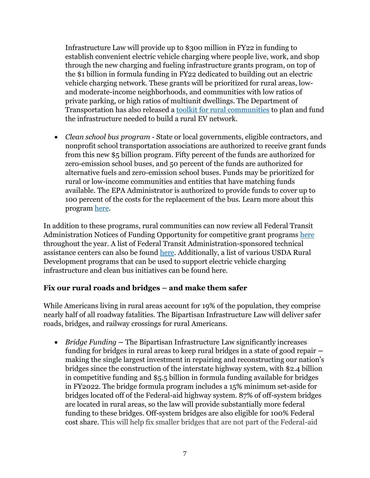Infrastructure Law will provide up to \$300 million in FY22 in funding to establish convenient electric vehicle charging where people live, work, and shop through the new charging and fueling infrastructure grants program, on top of the \$1 billion in formula funding in FY22 dedicated to building out an electric vehicle charging network. These grants will be prioritized for rural areas, lowand moderate-income neighborhoods, and communities with low ratios of private parking, or high ratios of multiunit dwellings. The Department of Transportation has also released a [toolkit for rural communities](https://www.transportation.gov/rural/ev/toolkit) to plan and fund the infrastructure needed to build a rural EV network.

• *Clean school bus program -* State or local governments, eligible contractors, and nonprofit school transportation associations are authorized to receive grant funds from this new \$5 billion program. Fifty percent of the funds are authorized for zero-emission school buses, and 50 percent of the funds are authorized for alternative fuels and zero-emission school buses. Funds may be prioritized for rural or low-income communities and entities that have matching funds available. The EPA Administrator is authorized to provide funds to cover up to 100 percent of the costs for the replacement of the bus. Learn more about this program [here.](https://www.epa.gov/cleanschoolbus)

In addition to these programs, rural communities can now review all Federal Transit Administration Notices of Funding Opportunity for competitive grant programs [here](https://www.transit.dot.gov/grants) throughout the year. A list of Federal Transit Administration-sponsored technical assistance centers can also be found [here.](https://www.transit.dot.gov/funding/grants/fta-sponsored-technical-assistance-centers#:~:text=FTA%E2%80%99s%20Technical%20Assistance%20and%20Workforce%20Development%20Program%20%2849,in%20supporting%20public%20transit%20agencies%20to%3A%20Improve%20accessibility) Additionally, a list of various USDA Rural Development programs that can be used to support electric vehicle charging infrastructure and clean bus initiatives can be found here.

## **Fix our rural roads and bridges – and make them safer**

While Americans living in rural areas account for 19% of the population, they comprise nearly half of all roadway fatalities. The Bipartisan Infrastructure Law will deliver safer roads, bridges, and railway crossings for rural Americans.

• *Bridge Funding* **–** The Bipartisan Infrastructure Law significantly increases funding for bridges in rural areas to keep rural bridges in a state of good repair **–** making the single largest investment in repairing and reconstructing our nation's bridges since the construction of the interstate highway system, with \$2.4 billion in competitive funding and \$5.5 billion in formula funding available for bridges in FY2022. The bridge formula program includes a 15% minimum set-aside for bridges located off of the Federal-aid highway system. 87% of off-system bridges are located in rural areas, so the law will provide substantially more federal funding to these bridges. Off-system bridges are also eligible for 100% Federal cost share. This will help fix smaller bridges that are not part of the Federal-aid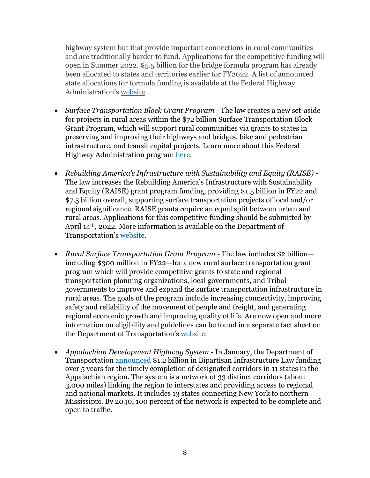highway system but that provide important connections in rural communities and are traditionally harder to fund. Applications for the competitive funding will open in Summer 2022. \$5.5 billion for the bridge formula program has already been allocated to states and territories earlier for FY2022. A list of announced state allocations for formula funding is available at the Federal Highway Administration's [website.](https://www.fhwa.dot.gov/legsregs/directives/notices/n4510861.cfm)

- *Surface Transportation Block Grant Program -* The law creates a new set-aside for projects in rural areas within the \$72 billion Surface Transportation Block Grant Program, which will support rural communities via grants to states in preserving and improving their highways and bridges, bike and pedestrian infrastructure, and transit capital projects. Learn more about this Federal Highway Administration program [here.](https://www.fhwa.dot.gov/specialfunding/stp/)
- *Rebuilding America's Infrastructure with Sustainability and Equity (RAISE) -* The law increases the Rebuilding America's Infrastructure with Sustainability and Equity (RAISE) grant program funding, providing \$1.5 billion in FY22 and \$7.5 billion overall, supporting surface transportation projects of local and/or regional significance. RAISE grants require an equal split between urban and rural areas. Applications for this competitive funding should be submitted by April 14th, 2022. More information is available on the Department of Transportation's [website.](https://www.transportation.gov/RAISEgrants)
- *Rural Surface Transportation Grant Program -* The law includes \$2 billion including \$300 million in FY22—for a new rural surface transportation grant program which will provide competitive grants to state and regional transportation planning organizations, local governments, and Tribal governments to improve and expand the surface transportation infrastructure in rural areas. The goals of the program include increasing connectivity, improving safety and reliability of the movement of people and freight, and generating regional economic growth and improving quality of life. Are now open and more information on eligibility and guidelines can be found in a separate fact sheet on the Department of Transportation's [website.](https://www.transportation.gov/grants/rural-surface-transportation-grant)
- *Appalachian Development Highway System -* In January, the Department of Transportation [announced](https://highways.dot.gov/newsroom/president-biden-and-us-department-transportation-announce-12-billion-highways-rural) \$1.2 billion in Bipartisan Infrastructure Law funding over 5 years for the timely completion of designated corridors in 11 states in the Appalachian region. The system is a network of 33 distinct corridors (about 3,000 miles) linking the region to interstates and providing access to regional and national markets. It includes 13 states connecting New York to northern Mississippi. By 2040, 100 percent of the network is expected to be complete and open to traffic.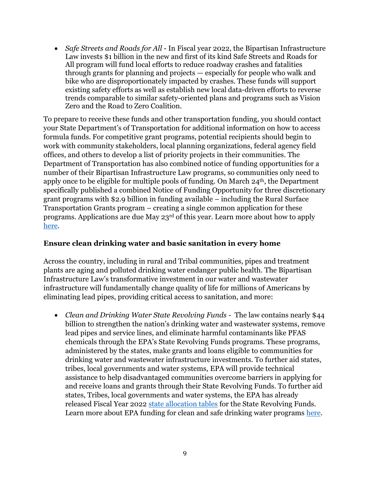• *Safe Streets and Roads for All* - In Fiscal year 2022, the Bipartisan Infrastructure Law invests \$1 billion in the new and first of its kind Safe Streets and Roads for All program will fund local efforts to reduce roadway crashes and fatalities through grants for planning and projects — especially for people who walk and bike who are disproportionately impacted by crashes. These funds will support existing safety efforts as well as establish new local data-driven efforts to reverse trends comparable to similar safety-oriented plans and programs such as Vision Zero and the Road to Zero Coalition.

To prepare to receive these funds and other transportation funding, you should contact your State Department's of Transportation for additional information on how to access formula funds. For competitive grant programs, potential recipients should begin to work with community stakeholders, local planning organizations, federal agency field offices, and others to develop a list of priority projects in their communities. The Department of Transportation has also combined notice of funding opportunities for a number of their Bipartisan Infrastructure Law programs, so communities only need to apply once to be eligible for multiple pools of funding. On March 24th, the Department specifically published a combined Notice of Funding Opportunity for three discretionary grant programs with \$2.9 billion in funding available – including the Rural Surface Transportation Grants program – creating a single common application for these programs. Applications are due May 23rd of this year. Learn more about how to apply [here.](https://www.federalregister.gov/documents/2022/03/25/2022-06350/notice-of-funding-opportunity-for-the-department-of-transportations-multimodal-project-discretionary)

#### **Ensure clean drinking water and basic sanitation in every home**

Across the country, including in rural and Tribal communities, pipes and treatment plants are aging and polluted drinking water endanger public health. The Bipartisan Infrastructure Law's transformative investment in our water and wastewater infrastructure will fundamentally change quality of life for millions of Americans by eliminating lead pipes, providing critical access to sanitation, and more:

• *Clean and Drinking Water State Revolving Funds -* The law contains nearly \$44 billion to strengthen the nation's drinking water and wastewater systems, remove lead pipes and service lines, and eliminate harmful contaminants like PFAS chemicals through the EPA's State Revolving Funds programs. These programs, administered by the states, make grants and loans eligible to communities for drinking water and wastewater infrastructure investments. To further aid states, tribes, local governments and water systems, EPA will provide technical assistance to help disadvantaged communities overcome barriers in applying for and receive loans and grants through their State Revolving Funds. To further aid states, Tribes, local governments and water systems, the EPA has already released Fiscal Year 2022 [state allocation tables](https://www.epa.gov/system/files/documents/2021-12/fy-2022-bil-srfs-allotment-summary-508.pdf) for the State Revolving Funds. Learn more about EPA funding for clean and safe drinking water programs [here.](https://www.epa.gov/fedfunds/epa-state-revolving-funds-and-wifia-available-water-and-wastewater-utilities#:~:text=and%20Wastewater%20Utilities-,EPA%20State%20Revolving%20Funds%20and%20WIFIA%20Available%20to%20Water%20and,disaster%20recovery%20and%20rebuilding%20projects.)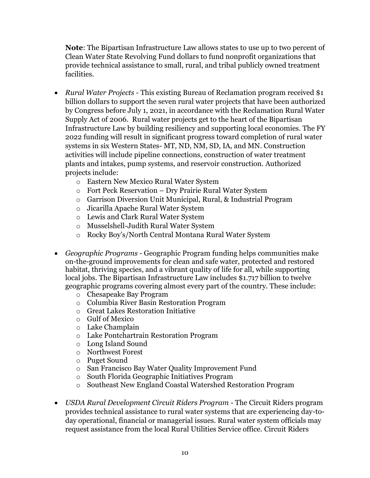**Note**: The Bipartisan Infrastructure Law allows states to use up to two percent of Clean Water State Revolving Fund dollars to fund nonprofit organizations that provide technical assistance to small, rural, and tribal publicly owned treatment facilities.

- *Rural Water Projects* This existing Bureau of Reclamation program received \$1 billion dollars to support the seven rural water projects that have been authorized by Congress before July 1, 2021, in accordance with the Reclamation Rural Water Supply Act of 2006. Rural water projects get to the heart of the Bipartisan Infrastructure Law by building resiliency and supporting local economies. The FY 2022 funding will result in significant progress toward completion of rural water systems in six Western States- MT, ND, NM, SD, IA, and MN. Construction activities will include pipeline connections, construction of water treatment plants and intakes, pump systems, and reservoir construction. Authorized projects include:
	- o Eastern New Mexico Rural Water System
	- o Fort Peck Reservation Dry Prairie Rural Water System
	- o Garrison Diversion Unit Municipal, Rural, & Industrial Program
	- o Jicarilla Apache Rural Water System
	- o Lewis and Clark Rural Water System
	- o Musselshell-Judith Rural Water System
	- o Rocky Boy's/North Central Montana Rural Water System
- *Geographic Programs -* Geographic Program funding helps communities make on-the-ground improvements for clean and safe water, protected and restored habitat, thriving species, and a vibrant quality of life for all, while supporting local jobs. The Bipartisan Infrastructure Law includes \$1.717 billion to twelve geographic programs covering almost every part of the country. These include:
	- o Chesapeake Bay Program
	- o Columbia River Basin Restoration Program
	- o Great Lakes Restoration Initiative
	- o Gulf of Mexico
	- o Lake Champlain
	- o Lake Pontchartrain Restoration Program
	- o Long Island Sound
	- o Northwest Forest
	- o Puget Sound
	- o San Francisco Bay Water Quality Improvement Fund
	- o South Florida Geographic Initiatives Program
	- o Southeast New England Coastal Watershed Restoration Program
- *USDA Rural Development Circuit Riders Program -* The Circuit Riders program provides technical assistance to rural water systems that are experiencing day-today operational, financial or managerial issues. Rural water system officials may request assistance from the local Rural Utilities Service office. Circuit Riders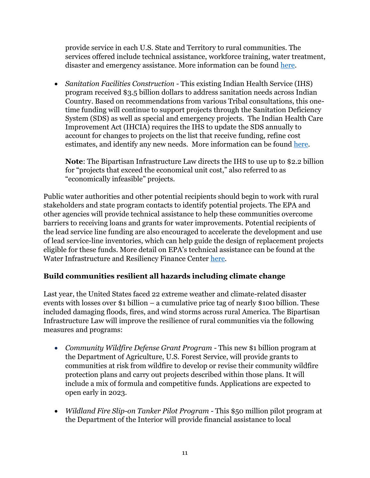provide service in each U.S. State and Territory to rural communities. The services offered include technical assistance, workforce training, water treatment, disaster and emergency assistance. More information can be found [here.](https://www.rd.usda.gov/programs-services/water-environmental-programs/circuit-rider-program-technical-assistance-rural-water-systems)

• *Sanitation Facilities Construction -* This existing Indian Health Service (IHS) program received \$3.5 billion dollars to address sanitation needs across Indian Country. Based on recommendations from various Tribal consultations, this onetime funding will continue to support projects through the Sanitation Deficiency System (SDS) as well as special and emergency projects. The Indian Health Care Improvement Act (IHCIA) requires the IHS to update the SDS annually to account for changes to projects on the list that receive funding, refine cost estimates, and identify any new needs. More information can be found [here.](https://www.ihs.gov/dsfc/)

**Note**: The Bipartisan Infrastructure Law directs the IHS to use up to \$2.2 billion for "projects that exceed the economical unit cost," also referred to as "economically infeasible" projects.

Public water authorities and other potential recipients should begin to work with rural stakeholders and state program contacts to identify potential projects. The EPA and other agencies will provide technical assistance to help these communities overcome barriers to receiving loans and grants for water improvements. Potential recipients of the lead service line funding are also encouraged to accelerate the development and use of lead service-line inventories, which can help guide the design of replacement projects eligible for these funds. More detail on EPA's technical assistance can be found at the Water Infrastructure and Resiliency Finance Center [here.](https://www.epa.gov/waterfinancecenter)

## **Build communities resilient all hazards including climate change**

Last year, the United States faced 22 extreme weather and climate-related disaster events with losses over \$1 billion – a cumulative price tag of nearly \$100 billion. These included damaging floods, fires, and wind storms across rural America. The Bipartisan Infrastructure Law will improve the resilience of rural communities via the following measures and programs:

- *Community Wildfire Defense Grant Program -* This new \$1 billion program at the Department of Agriculture, U.S. Forest Service, will provide grants to communities at risk from wildfire to develop or revise their community wildfire protection plans and carry out projects described within those plans. It will include a mix of formula and competitive funds. Applications are expected to open early in 2023.
- *Wildland Fire Slip-on Tanker Pilot Program -* This \$50 million pilot program at the Department of the Interior will provide financial assistance to local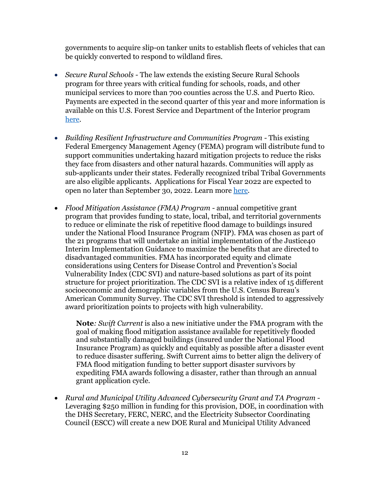governments to acquire slip-on tanker units to establish fleets of vehicles that can be quickly converted to respond to wildland fires.

- *Secure Rural Schools -* The law extends the existing Secure Rural Schools program for three years with critical funding for schools, roads, and other municipal services to more than 700 counties across the U.S. and Puerto Rico. Payments are expected in the second quarter of this year and more information is available on this U.S. Forest Service and Department of the Interior program [here.](https://www.fs.usda.gov/working-with-us/secure-rural-schools)
- *Building Resilient Infrastructure and Communities Program -* This existing Federal Emergency Management Agency (FEMA) program will distribute fund to support communities undertaking hazard mitigation projects to reduce the risks they face from disasters and other natural hazards. Communities will apply as sub-applicants under their states. Federally recognized tribal Tribal Governments are also eligible applicants. Applications for Fiscal Year 2022 are expected to open no later than September 30, 2022. Learn more [here.](https://www.fema.gov/grants/mitigation/building-resilient-infrastructure-communities#:~:text=Building%20Resilient%20Infrastructure%20and%20Communities%20(BRIC)%20will%20support%20states%2C,from%20disasters%20and%20natural%20hazards.)
- *Flood Mitigation Assistance (FMA) Program -* annual competitive grant program that provides funding to state, local, tribal, and territorial governments to reduce or eliminate the risk of repetitive flood damage to buildings insured under the National Flood Insurance Program (NFIP). FMA was chosen as part of the 21 programs that will undertake an initial implementation of the Justice40 Interim Implementation Guidance to maximize the benefits that are directed to disadvantaged communities. FMA has incorporated equity and climate considerations using Centers for Disease Control and Prevention's Social Vulnerability Index (CDC SVI) and nature-based solutions as part of its point structure for project prioritization. The CDC SVI is a relative index of 15 different socioeconomic and demographic variables from the U.S. Census Bureau's American Community Survey. The CDC SVI threshold is intended to aggressively award prioritization points to projects with high vulnerability.

**Note***: Swift Current* is also a new initiative under the FMA program with the goal of making flood mitigation assistance available for repetitively flooded and substantially damaged buildings (insured under the National Flood Insurance Program) as quickly and equitably as possible after a disaster event to reduce disaster suffering. Swift Current aims to better align the delivery of FMA flood mitigation funding to better support disaster survivors by expediting FMA awards following a disaster, rather than through an annual grant application cycle.

• *Rural and Municipal Utility Advanced Cybersecurity Grant and TA Program -* Leveraging \$250 million in funding for this provision, DOE, in coordination with the DHS Secretary, FERC, NERC, and the Electricity Subsector Coordinating Council (ESCC) will create a new DOE Rural and Municipal Utility Advanced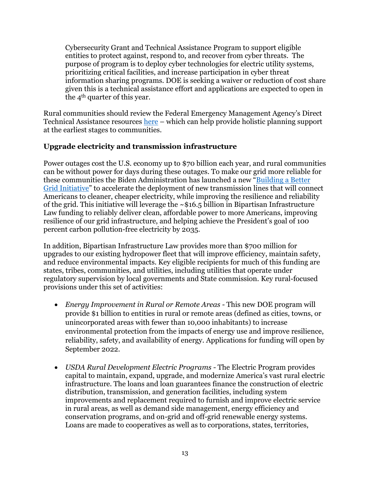Cybersecurity Grant and Technical Assistance Program to support eligible entities to protect against, respond to, and recover from cyber threats. The purpose of program is to deploy cyber technologies for electric utility systems, prioritizing critical facilities, and increase participation in cyber threat information sharing programs. DOE is seeking a waiver or reduction of cost share given this is a technical assistance effort and applications are expected to open in the 4th quarter of this year.

Rural communities should review the Federal Emergency Management Agency's Direct Technical Assistance resources [here](https://www.fema.gov/grants/mitigation/building-resilient-infrastructure-communities/direct-technical-assistance) – which can help provide holistic planning support at the earliest stages to communities.

### **Upgrade electricity and transmission infrastructure**

Power outages cost the U.S. economy up to \$70 billion each year, and rural communities can be without power for days during these outages. To make our grid more reliable for these communities the Biden Administration has launched a new "[Building a Better](https://www.energy.gov/sites/default/files/2022-01/Transmission%20NOI%20final%20for%20web_1.pdf)  [Grid Initiative](https://www.energy.gov/sites/default/files/2022-01/Transmission%20NOI%20final%20for%20web_1.pdf)" to accelerate the deployment of new transmission lines that will connect Americans to cleaner, cheaper electricity, while improving the resilience and reliability of the grid. This initiative will leverage the  $\sim$ \$16.5 billion in Bipartisan Infrastructure Law funding to reliably deliver clean, affordable power to more Americans, improving resilience of our grid infrastructure, and helping achieve the President's goal of 100 percent carbon pollution-free electricity by 2035.

In addition, Bipartisan Infrastructure Law provides more than \$700 million for upgrades to our existing hydropower fleet that will improve efficiency, maintain safety, and reduce environmental impacts. Key eligible recipients for much of this funding are states, tribes, communities, and utilities, including utilities that operate under regulatory supervision by local governments and State commission. Key rural-focused provisions under this set of activities:

- *Energy Improvement in Rural or Remote Areas -* This new DOE program will provide \$1 billion to entities in rural or remote areas (defined as cities, towns, or unincorporated areas with fewer than 10,000 inhabitants) to increase environmental protection from the impacts of energy use and improve resilience, reliability, safety, and availability of energy. Applications for funding will open by September 2022.
- *USDA Rural Development Electric Programs -* The Electric Program provides capital to maintain, expand, upgrade, and modernize America's vast rural electric infrastructure. The loans and loan guarantees finance the construction of electric distribution, transmission, and generation facilities, including system improvements and replacement required to furnish and improve electric service in rural areas, as well as demand side management, energy efficiency and conservation programs, and on-grid and off-grid renewable energy systems. Loans are made to cooperatives as well as to corporations, states, territories,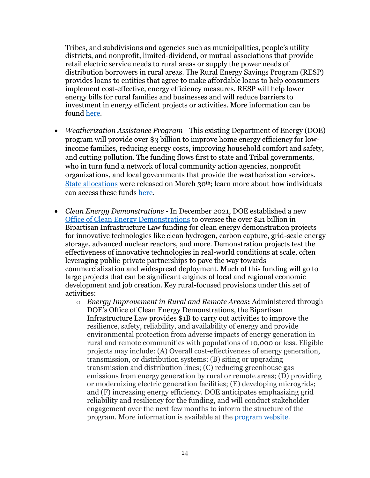Tribes, and subdivisions and agencies such as municipalities, people's utility districts, and nonprofit, limited-dividend, or mutual associations that provide retail electric service needs to rural areas or supply the power needs of distribution borrowers in rural areas. The Rural Energy Savings Program (RESP) provides loans to entities that agree to make affordable loans to help consumers implement cost-effective, energy efficiency measures. RESP will help lower energy bills for rural families and businesses and will reduce barriers to investment in energy efficient projects or activities. More information can be found [here.](https://www.rd.usda.gov/programs-services/electric-programs)

- *Weatherization Assistance Program -* This existing Department of Energy (DOE) program will provide over \$3 billion to improve home energy efficiency for lowincome families, reducing energy costs, improving household comfort and safety, and cutting pollution. The funding flows first to state and Tribal governments, who in turn fund a network of local community action agencies, nonprofit organizations, and local governments that provide the weatherization services. [State allocations](https://www.energy.gov/eere/wap/articles/weatherization-program-notice-bil-22-1-and-22-2) were released on March 30<sup>th</sup>; learn more about how individuals can access these funds [here.](https://www.energy.gov/eere/wap/weatherization-assistance-program)
- *Clean Energy Demonstrations -* In December 2021, DOE established a new [Office of Clean Energy Demonstrations](https://www.energy.gov/articles/doe-establishes-new-office-clean-energy-demonstrations-under-bipartisan-infrastructure-law) to oversee the over \$21 billion in Bipartisan Infrastructure Law funding for clean energy demonstration projects for innovative technologies like clean hydrogen, carbon capture, grid-scale energy storage, advanced nuclear reactors, and more. Demonstration projects test the effectiveness of innovative technologies in real-world conditions at scale, often leveraging public-private partnerships to pave the way towards commercialization and widespread deployment. Much of this funding will go to large projects that can be significant engines of local and regional economic development and job creation. Key rural-focused provisions under this set of activities:
	- o *Energy Improvement in Rural and Remote Areas***:** Administered through DOE's Office of Clean Energy Demonstrations, the Bipartisan Infrastructure Law provides \$1B to carry out activities to improve the resilience, safety, reliability, and availability of energy and provide environmental protection from adverse impacts of energy generation in rural and remote communities with populations of 10,000 or less. Eligible projects may include: (A) Overall cost-effectiveness of energy generation, transmission, or distribution systems; (B) siting or upgrading transmission and distribution lines; (C) reducing greenhouse gas emissions from energy generation by rural or remote areas; (D) providing or modernizing electric generation facilities; (E) developing microgrids; and (F) increasing energy efficiency. DOE anticipates emphasizing grid reliability and resiliency for the funding, and will conduct stakeholder engagement over the next few months to inform the structure of the program. More information is available at the [program website.](https://www.energy.gov/bil/energy-improvement-rural-or-remote-areas)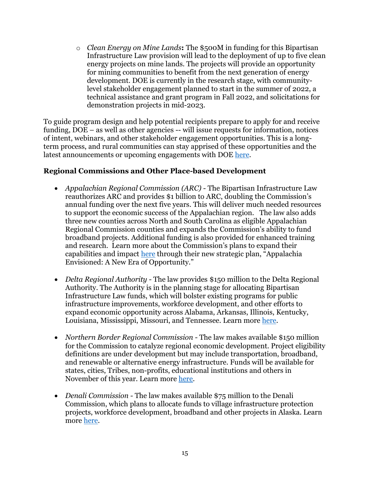o *Clean Energy on Mine Lands***:** The \$500M in funding for this Bipartisan Infrastructure Law provision will lead to the deployment of up to five clean energy projects on mine lands. The projects will provide an opportunity for mining communities to benefit from the next generation of energy development. DOE is currently in the research stage, with communitylevel stakeholder engagement planned to start in the summer of 2022, a technical assistance and grant program in Fall 2022, and solicitations for demonstration projects in mid-2023.

To guide program design and help potential recipients prepare to apply for and receive funding, DOE – as well as other agencies -- will issue requests for information, notices of intent, webinars, and other stakeholder engagement opportunities. This is a longterm process, and rural communities can stay apprised of these opportunities and the latest announcements or upcoming engagements with DOE [here.](http://www.energy.gov/bipartisan-infrastructure-law-programs)

#### **Regional Commissions and Other Place-based Development**

- *Appalachian Regional Commission (ARC) -* The Bipartisan Infrastructure Law reauthorizes ARC and provides \$1 billion to ARC, doubling the Commission's annual funding over the next five years. This will deliver much needed resources to support the economic success of the Appalachian region. The law also adds three new counties across North and South Carolina as eligible Appalachian Regional Commission counties and expands the Commission's ability to fund broadband projects. Additional funding is also provided for enhanced training and research. Learn more about the Commission's plans to expand their capabilities and impact [here](https://www.arc.gov/) through their new strategic plan, "Appalachia Envisioned: A New Era of Opportunity."
- *Delta Regional Authority -* The law provides \$150 million to the Delta Regional Authority. The Authority is in the planning stage for allocating Bipartisan Infrastructure Law funds, which will bolster existing programs for public infrastructure improvements, workforce development, and other efforts to expand economic opportunity across Alabama, Arkansas, Illinois, Kentucky, Louisiana, Mississippi, Missouri, and Tennessee. Learn more [here.](https://dra.gov/)
- *Northern Border Regional Commission -* The law makes available \$150 million for the Commission to catalyze regional economic development. Project eligibility definitions are under development but may include transportation, broadband, and renewable or alternative energy infrastructure. Funds will be available for states, cities, Tribes, non-profits, educational institutions and others in November of this year. Learn more [here.](https://www.nbrc.gov/)
- *Denali Commission* The law makes available \$75 million to the Denali Commission, which plans to allocate funds to village infrastructure protection projects, workforce development, broadband and other projects in Alaska. Learn more [here.](https://www.denali.gov/)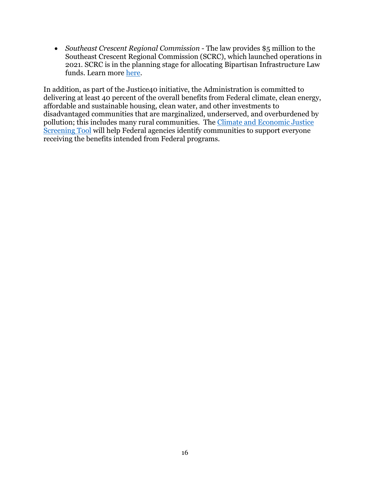• *Southeast Crescent Regional Commission* - The law provides \$5 million to the Southeast Crescent Regional Commission (SCRC), which launched operations in 2021. SCRC is in the planning stage for allocating Bipartisan Infrastructure Law funds. Learn more [here.](https://scrc.gov/)

In addition, as part of the Justice40 initiative, the Administration is committed to delivering at least 40 percent of the overall benefits from Federal climate, clean energy, affordable and sustainable housing, clean water, and other investments to disadvantaged communities that are marginalized, underserved, and overburdened by pollution; this includes many rural communities. The [Climate and Economic Justice](https://www.whitehouse.gov/ceq/news-updates/2022/02/18/ceq-publishes-draft-climate-and-economic-justice-screening-tool-key-component-in-the-implementation-of-president-bidens-justice40-initiative/#:~:text=Today%2C%20the%20White%20House%20Council,campaign%20promise%20from%20President%20Biden.)  [Screening Tool](https://www.whitehouse.gov/ceq/news-updates/2022/02/18/ceq-publishes-draft-climate-and-economic-justice-screening-tool-key-component-in-the-implementation-of-president-bidens-justice40-initiative/#:~:text=Today%2C%20the%20White%20House%20Council,campaign%20promise%20from%20President%20Biden.) will help Federal agencies identify communities to support everyone receiving the benefits intended from Federal programs.